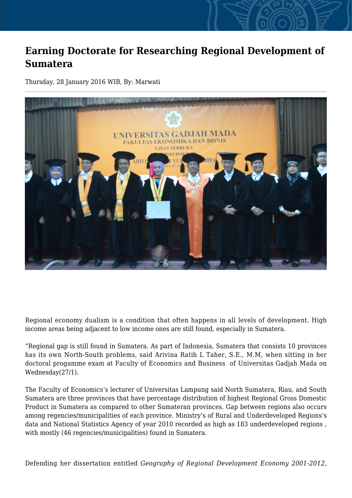## **Earning Doctorate for Researching Regional Development of Sumatera**

Thursday, 28 January 2016 WIB, By: Marwati



Regional economy dualism is a condition that often happens in all levels of development. High income areas being adjacent to low income ones are still found, especially in Sumatera.

"Regional gap is still found in Sumatera. As part of Indonesia, Sumatera that consists 10 provinces has its own North-South problems, said Arivina Ratih L Taher, S.E., M.M, when sitting in her doctoral progamme exam at Faculty of Economics and Business of Universitas Gadjah Mada on Wednesday(27/1).

The Faculty of Economics's lecturer of Universitas Lampung said North Sumatera, Riau, and South Sumatera are three provinces that have percentage distribution of highest Regional Gross Domestic Product in Sumatera as compared to other Sumateran provinces. Gap between regions also occurs among regencies/municipalities of each province. Ministry's of Rural and Underdeveloped Regions's data and National Statistics Agency of year 2010 recorded as high as 183 underdeveloped regions , with mostly (46 regencies/municipalities) found in Sumatera.

Defending her dissertation entitled *Geography of Regional Development Economy 2001-2012*,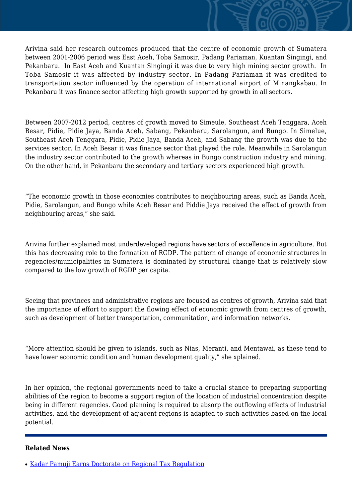Arivina said her research outcomes produced that the centre of economic growth of Sumatera between 2001-2006 period was East Aceh, Toba Samosir, Padang Pariaman, Kuantan Singingi, and Pekanbaru. In East Aceh and Kuantan Singingi it was due to very high mining sector growth. In Toba Samosir it was affected by industry sector. In Padang Pariaman it was credited to transportation sector influenced by the operation of international airport of Minangkabau. In Pekanbaru it was finance sector affecting high growth supported by growth in all sectors.

Between 2007-2012 period, centres of growth moved to Simeule, Southeast Aceh Tenggara, Aceh Besar, Pidie, Pidie Jaya, Banda Aceh, Sabang, Pekanbaru, Sarolangun, and Bungo. In Simelue, Southeast Aceh Tenggara, Pidie, Pidie Jaya, Banda Aceh, and Sabang the growth was due to the services sector. In Aceh Besar it was finance sector that played the role. Meanwhile in Sarolangun the industry sector contributed to the growth whereas in Bungo construction industry and mining. On the other hand, in Pekanbaru the secondary and tertiary sectors experienced high growth.

"The economic growth in those economies contributes to neighbouring areas, such as Banda Aceh, Pidie, Sarolangun, and Bungo while Aceh Besar and Piddie Jaya received the effect of growth from neighbouring areas," she said.

Arivina further explained most underdeveloped regions have sectors of excellence in agriculture. But this has decreasing role to the formation of RGDP. The pattern of change of economic structures in regencies/municipalities in Sumatera is dominated by structural change that is relatively slow compared to the low growth of RGDP per capita.

Seeing that provinces and administrative regions are focused as centres of growth, Arivina said that the importance of effort to support the flowing effect of economic growth from centres of growth, such as development of better transportation, communitation, and information networks.

"More attention should be given to islands, such as Nias, Meranti, and Mentawai, as these tend to have lower economic condition and human development quality," she xplained.

In her opinion, the regional governments need to take a crucial stance to preparing supporting abilities of the region to become a support region of the location of industrial concentration despite being in different regencies. Good planning is required to absorp the outflowing effects of industrial activities, and the development of adjacent regions is adapted to such activities based on the local potential.

## **Related News**

● [Kadar Pamuji Earns Doctorate on Regional Tax Regulation](http://ugm.ac.id/www.ugm.ac.id//en/news/11576-earning-doctorate-for-researching-javanese-idioms)